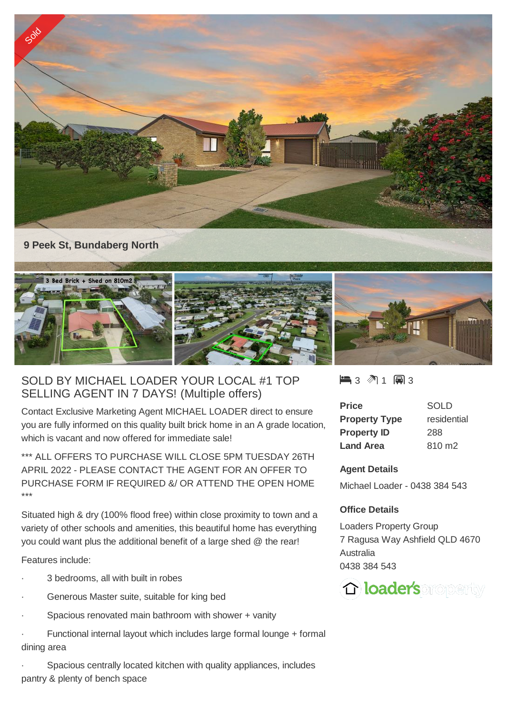

## **9 Peek St, Bundaberg North**



## SOLD BY MICHAEL LOADER YOUR LOCAL #1 TOP SELLING AGENT IN 7 DAYS! (Multiple offers)

Contact Exclusive Marketing Agent MICHAEL LOADER direct to ensure you are fully informed on this quality built brick home in an A grade location, which is vacant and now offered for immediate sale!

\*\*\* ALL OFFERS TO PURCHASE WILL CLOSE 5PM TUESDAY 26TH APRIL 2022 - PLEASE CONTACT THE AGENT FOR AN OFFER TO PURCHASE FORM IF REQUIRED &/ OR ATTEND THE OPEN HOME \*\*\*

Situated high & dry (100% flood free) within close proximity to town and a variety of other schools and amenities, this beautiful home has everything you could want plus the additional benefit of a large shed @ the rear!

Features include:

- 3 bedrooms, all with built in robes
- Generous Master suite, suitable for king bed
- Spacious renovated main bathroom with shower + vanity
- Functional internal layout which includes large formal lounge + formal dining area
- Spacious centrally located kitchen with quality appliances, includes pantry & plenty of bench space

 $\blacksquare$  3 2 1 2 3

| Price                | <b>SOLD</b> |
|----------------------|-------------|
| <b>Property Type</b> | residential |
| <b>Property ID</b>   | 288         |
| <b>Land Area</b>     | 810 m2      |

## **Agent Details**

Michael Loader - 0438 384 543

## **Office Details**

Loaders Property Group 7 Ragusa Way Ashfield QLD 4670 Australia 0438 384 543

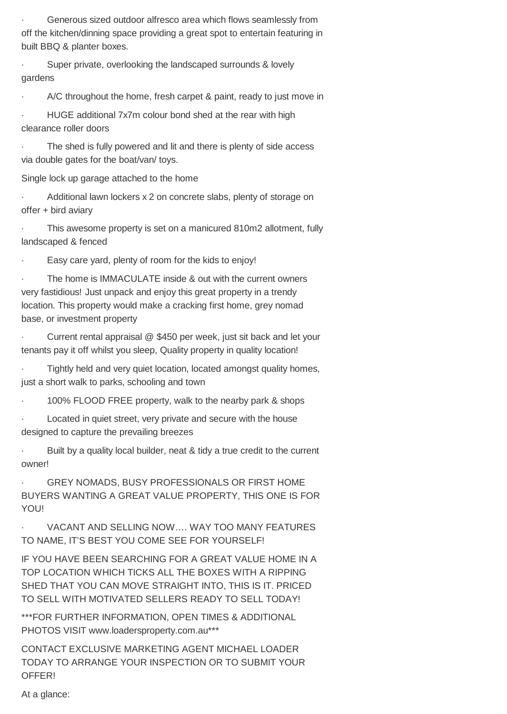Generous sized outdoor alfresco area which flows seamlessly from off the kitchen/dinning space providing a great spot to entertain featuring in built BBQ & planter boxes.

Super private, overlooking the landscaped surrounds & lovely gardens

A/C throughout the home, fresh carpet & paint, ready to just move in

HUGE additional 7x7m colour bond shed at the rear with high clearance roller doors

The shed is fully powered and lit and there is plenty of side access via double gates for the boat/van/ toys.

Single lock up garage attached to the home

· Additional lawn lockers x 2 on concrete slabs, plenty of storage on offer + bird aviary

This awesome property is set on a manicured 810m2 allotment, fully landscaped & fenced

Easy care yard, plenty of room for the kids to enjoy!

The home is IMMACULATE inside & out with the current owners very fastidious! Just unpack and enjoy this great property in a trendy location. This property would make a cracking first home, grey nomad base, or investment property

· Current rental appraisal @ \$450 per week, just sit back and let your tenants pay it off whilst you sleep, Quality property in quality location!

· Tightly held and very quiet location, located amongst quality homes, just a short walk to parks, schooling and town

· 100% FLOOD FREE property, walk to the nearby park & shops

Located in quiet street, very private and secure with the house designed to capture the prevailing breezes

Built by a quality local builder, neat & tidy a true credit to the current owner!

**GREY NOMADS, BUSY PROFESSIONALS OR FIRST HOME** BUYERS WANTING A GREAT VALUE PROPERTY, THIS ONE IS FOR YOU!

VACANT AND SELLING NOW.... WAY TOO MANY FEATURES TO NAME, IT'S BEST YOU COME SEE FOR YOURSELF!

IF YOU HAVE BEEN SEARCHING FOR A GREAT VALUE HOME IN A TOP LOCATION WHICH TICKS ALL THE BOXES WITH A RIPPING SHED THAT YOU CAN MOVE STRAIGHT INTO, THIS IS IT. PRICED TO SELL WITH MOTIVATED SELLERS READY TO SELL TODAY!

\*\*\*FOR FURTHER INFORMATION, OPEN TIMES & ADDITIONAL PHOTOS VISIT www.loadersproperty.com.au\*\*\*

CONTACT EXCLUSIVE MARKETING AGENT MICHAEL LOADER TODAY TO ARRANGE YOUR INSPECTION OR TO SUBMIT YOUR OFFER!

At a glance: